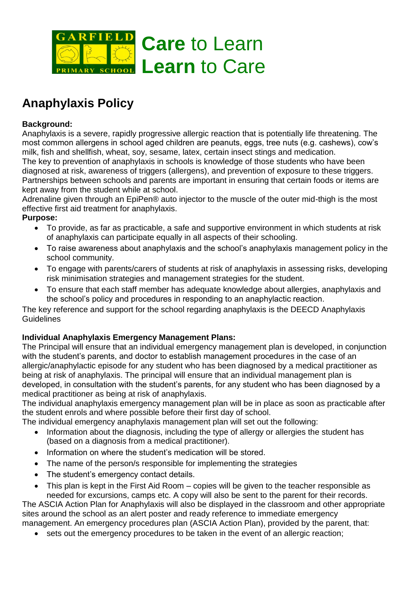

# **Anaphylaxis Policy**

#### **Background:**

Anaphylaxis is a severe, rapidly progressive allergic reaction that is potentially life threatening. The most common allergens in school aged children are peanuts, eggs, tree nuts (e.g. cashews), cow's milk, fish and shellfish, wheat, soy, sesame, latex, certain insect stings and medication. The key to prevention of anaphylaxis in schools is knowledge of those students who have been

diagnosed at risk, awareness of triggers (allergens), and prevention of exposure to these triggers. Partnerships between schools and parents are important in ensuring that certain foods or items are kept away from the student while at school.

Adrenaline given through an EpiPen® auto injector to the muscle of the outer mid-thigh is the most effective first aid treatment for anaphylaxis.

#### **Purpose:**

- To provide, as far as practicable, a safe and supportive environment in which students at risk of anaphylaxis can participate equally in all aspects of their schooling.
- To raise awareness about anaphylaxis and the school's anaphylaxis management policy in the school community.
- To engage with parents/carers of students at risk of anaphylaxis in assessing risks, developing risk minimisation strategies and management strategies for the student.
- To ensure that each staff member has adequate knowledge about allergies, anaphylaxis and the school's policy and procedures in responding to an anaphylactic reaction.

The key reference and support for the school regarding anaphylaxis is the DEECD Anaphylaxis **Guidelines** 

# **Individual Anaphylaxis Emergency Management Plans:**

The Principal will ensure that an individual emergency management plan is developed, in conjunction with the student's parents, and doctor to establish management procedures in the case of an allergic/anaphylactic episode for any student who has been diagnosed by a medical practitioner as being at risk of anaphylaxis. The principal will ensure that an individual management plan is developed, in consultation with the student's parents, for any student who has been diagnosed by a medical practitioner as being at risk of anaphylaxis.

The individual anaphylaxis emergency management plan will be in place as soon as practicable after the student enrols and where possible before their first day of school.

The individual emergency anaphylaxis management plan will set out the following:

- Information about the diagnosis, including the type of allergy or allergies the student has (based on a diagnosis from a medical practitioner).
- Information on where the student's medication will be stored.
- The name of the person/s responsible for implementing the strategies
- The student's emergency contact details.
- This plan is kept in the First Aid Room copies will be given to the teacher responsible as needed for excursions, camps etc. A copy will also be sent to the parent for their records.

The ASCIA Action Plan for Anaphylaxis will also be displayed in the classroom and other appropriate sites around the school as an alert poster and ready reference to immediate emergency management. An emergency procedures plan (ASCIA Action Plan), provided by the parent, that:

sets out the emergency procedures to be taken in the event of an allergic reaction;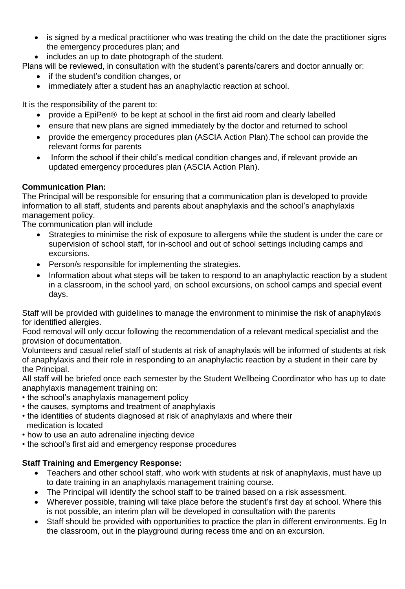- is signed by a medical practitioner who was treating the child on the date the practitioner signs the emergency procedures plan; and
- includes an up to date photograph of the student.

Plans will be reviewed, in consultation with the student's parents/carers and doctor annually or:

- if the student's condition changes, or
- immediately after a student has an anaphylactic reaction at school.

It is the responsibility of the parent to:

- provide a EpiPen® to be kept at school in the first aid room and clearly labelled
- ensure that new plans are signed immediately by the doctor and returned to school
- provide the emergency procedures plan (ASCIA Action Plan).The school can provide the relevant forms for parents
- Inform the school if their child's medical condition changes and, if relevant provide an updated emergency procedures plan (ASCIA Action Plan).

# **Communication Plan:**

The Principal will be responsible for ensuring that a communication plan is developed to provide information to all staff, students and parents about anaphylaxis and the school's anaphylaxis management policy.

The communication plan will include

- Strategies to minimise the risk of exposure to allergens while the student is under the care or supervision of school staff, for in-school and out of school settings including camps and excursions.
- Person/s responsible for implementing the strategies.
- Information about what steps will be taken to respond to an anaphylactic reaction by a student in a classroom, in the school yard, on school excursions, on school camps and special event days.

Staff will be provided with guidelines to manage the environment to minimise the risk of anaphylaxis for identified allergies.

Food removal will only occur following the recommendation of a relevant medical specialist and the provision of documentation.

Volunteers and casual relief staff of students at risk of anaphylaxis will be informed of students at risk of anaphylaxis and their role in responding to an anaphylactic reaction by a student in their care by the Principal.

All staff will be briefed once each semester by the Student Wellbeing Coordinator who has up to date anaphylaxis management training on:

- the school's anaphylaxis management policy
- the causes, symptoms and treatment of anaphylaxis
- the identities of students diagnosed at risk of anaphylaxis and where their medication is located
- how to use an auto adrenaline injecting device
- the school's first aid and emergency response procedures

# **Staff Training and Emergency Response:**

- Teachers and other school staff, who work with students at risk of anaphylaxis, must have up to date training in an anaphylaxis management training course.
- The Principal will identify the school staff to be trained based on a risk assessment.
- Wherever possible, training will take place before the student's first day at school. Where this is not possible, an interim plan will be developed in consultation with the parents
- Staff should be provided with opportunities to practice the plan in different environments. Eg In the classroom, out in the playground during recess time and on an excursion.